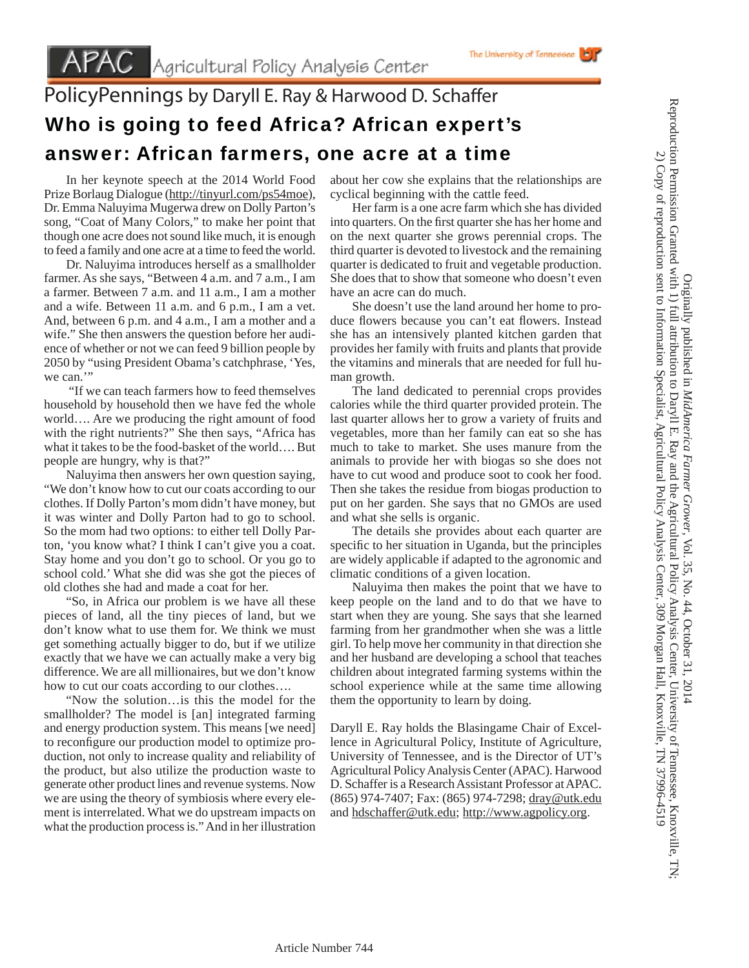## PolicyPennings by Daryll E. Ray & Harwood D. Schaffer Who is going to feed Africa? African expert's answer: African farmers, one acre at a time

 In her keynote speech at the 2014 World Food Prize Borlaug Dialogue (http://tinyurl.com/ps54moe), Dr. Emma Naluyima Mugerwa drew on Dolly Parton's song, "Coat of Many Colors," to make her point that though one acre does not sound like much, it is enough to feed a family and one acre at a time to feed the world.

 Dr. Naluyima introduces herself as a smallholder farmer. As she says, "Between 4 a.m. and 7 a.m., I am a farmer. Between 7 a.m. and 11 a.m., I am a mother and a wife. Between 11 a.m. and 6 p.m., I am a vet. And, between 6 p.m. and 4 a.m., I am a mother and a wife." She then answers the question before her audience of whether or not we can feed 9 billion people by 2050 by "using President Obama's catchphrase, 'Yes, we can."

 "If we can teach farmers how to feed themselves household by household then we have fed the whole world…. Are we producing the right amount of food with the right nutrients?" She then says, "Africa has what it takes to be the food-basket of the world…. But people are hungry, why is that?"

 Naluyima then answers her own question saying, "We don't know how to cut our coats according to our clothes. If Dolly Parton's mom didn't have money, but it was winter and Dolly Parton had to go to school. So the mom had two options: to either tell Dolly Parton, 'you know what? I think I can't give you a coat. Stay home and you don't go to school. Or you go to school cold.' What she did was she got the pieces of old clothes she had and made a coat for her.

 "So, in Africa our problem is we have all these pieces of land, all the tiny pieces of land, but we don't know what to use them for. We think we must get something actually bigger to do, but if we utilize exactly that we have we can actually make a very big difference. We are all millionaires, but we don't know how to cut our coats according to our clothes….

 "Now the solution…is this the model for the smallholder? The model is [an] integrated farming and energy production system. This means [we need] to reconfigure our production model to optimize production, not only to increase quality and reliability of the product, but also utilize the production waste to generate other product lines and revenue systems. Now we are using the theory of symbiosis where every element is interrelated. What we do upstream impacts on what the production process is." And in her illustration

about her cow she explains that the relationships are cyclical beginning with the cattle feed.

 Her farm is a one acre farm which she has divided into quarters. On the first quarter she has her home and on the next quarter she grows perennial crops. The third quarter is devoted to livestock and the remaining quarter is dedicated to fruit and vegetable production. She does that to show that someone who doesn't even have an acre can do much.

 She doesn't use the land around her home to produce flowers because you can't eat flowers. Instead she has an intensively planted kitchen garden that provides her family with fruits and plants that provide the vitamins and minerals that are needed for full human growth.

 The land dedicated to perennial crops provides calories while the third quarter provided protein. The last quarter allows her to grow a variety of fruits and vegetables, more than her family can eat so she has much to take to market. She uses manure from the animals to provide her with biogas so she does not have to cut wood and produce soot to cook her food. Then she takes the residue from biogas production to put on her garden. She says that no GMOs are used and what she sells is organic.

 The details she provides about each quarter are specific to her situation in Uganda, but the principles are widely applicable if adapted to the agronomic and climatic conditions of a given location.

 Naluyima then makes the point that we have to keep people on the land and to do that we have to start when they are young. She says that she learned farming from her grandmother when she was a little girl. To help move her community in that direction she and her husband are developing a school that teaches children about integrated farming systems within the school experience while at the same time allowing them the opportunity to learn by doing.

Daryll E. Ray holds the Blasingame Chair of Excellence in Agricultural Policy, Institute of Agriculture, University of Tennessee, and is the Director of UT's Agricultural Policy Analysis Center (APAC). Harwood D. Schaffer is a Research Assistant Professor at APAC. (865) 974-7407; Fax: (865) 974-7298; dray@utk.edu and hdschaffer@utk.edu; http://www.agpolicy.org.